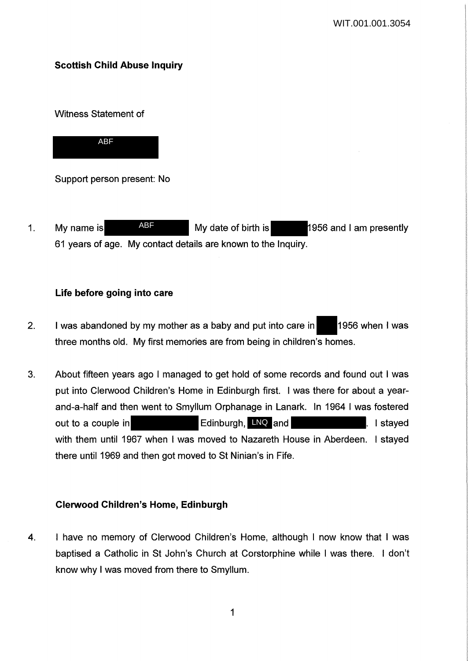# **Scottish Child Abuse Inquiry**

Witness Statement of



Support person present: No

1. My name is ABF My date of birth is 1956 and I am presently 61 years of age. My contact details are known to the Inquiry. ABF

# **Life before going into care**

- 2. I was abandoned by my mother as a baby and put into care in 1956 when I was three months old. My first memories are from being in children's homes.
- 3. About fifteen years ago I managed to get hold of some records and found out I was put into Clerwood Children's Home in Edinburgh first. I was there for about a yearand-a-half and then went to Smyllum Orphanage in Lanark. In 1964 I was fostered out to a couple in **Edinburgh, LNQ and I stayed Letter** Letter and I stayed with them until 1967 when I was moved to Nazareth House in Aberdeen. I stayed there until 1969 and then got moved to St Ninian's in Fife.

# **Clerwood Children's Home, Edinburgh**

4. I have no memory of Clerwood Children's Home, although I now know that I was baptised a Catholic in St John's Church at Corstorphine while I was there. I don't know why I was moved from there to Smyllum.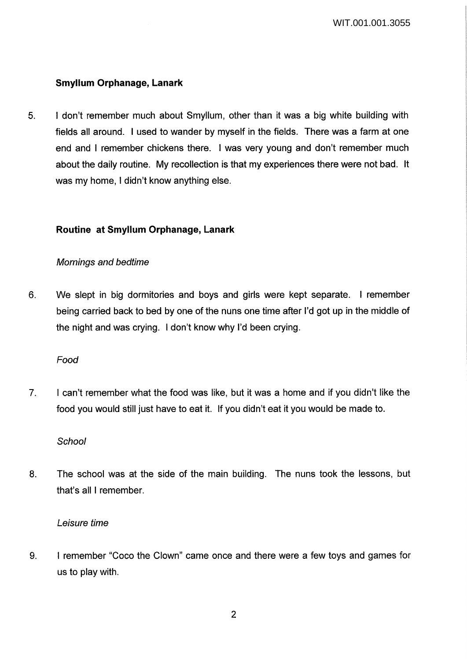# **Smyllum Orphanage, Lanark**

5. I don't remember much about Smyllum, other than it was a big white building with fields all around. I used to wander by myself in the fields. There was a farm at one end and I remember chickens there. I was very young and don't remember much about the daily routine. My recollection is that my experiences there were not bad. It was my home, I didn't know anything else.

# **Routine at Smyllum Orphanage, Lanark**

# Mornings and bedtime

6. We slept in big dormitories and boys and girls were kept separate. I remember being carried back to bed by one of the nuns one time after I'd got up in the middle of the night and was crying. I don't know why I'd been crying.

Food

7. I can't remember what the food was like, but it was a home and if you didn't like the food you would still just have to eat it. If you didn't eat it you would be made to.

**School** 

8. The school was at the side of the main building. The nuns took the lessons, but that's all I remember.

## Leisure time

9. I remember "Coco the Clown" came once and there were a few toys and games for us to play with.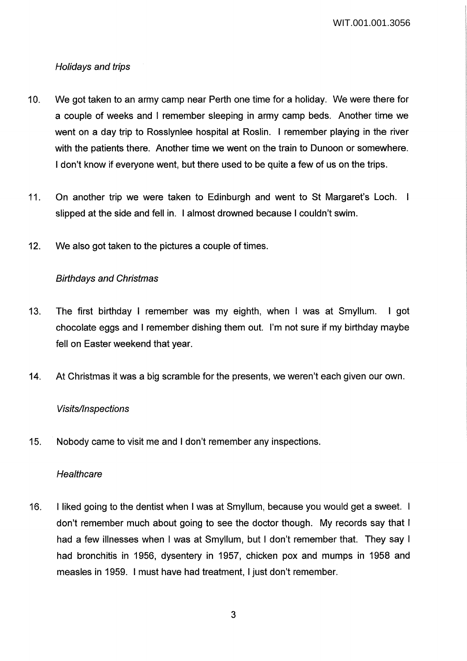WIT.001.001.3056

# Holidays and trips

- 10. We got taken to an army camp near Perth one time for a holiday. We were there for a couple of weeks and I remember sleeping in army camp beds. Another time we went on a day trip to Rosslynlee hospital at Roslin. I remember playing in the river with the patients there. Another time we went on the train to Dunoon or somewhere. I don't know if everyone went, but there used to be quite a few of us on the trips.
- 11. On another trip we were taken to Edinburgh and went to St Margaret's Loch. I slipped at the side and fell in. I almost drowned because I couldn't swim.
- 12. We also got taken to the pictures a couple of times.

# Birthdays and Christmas

- 13. The first birthday I remember was my eighth, when I was at Smyllum. I got chocolate eggs and I remember dishing them out. I'm not sure if my birthday maybe fell on Easter weekend that year.
- 14. At Christmas it was a big scramble for the presents, we weren't each given our own.

## Visits/Inspections

15. Nobody came to visit me and I don't remember any inspections.

## **Healthcare**

16. I liked going to the dentist when I was at Smyllum, because you would get a sweet. I don't remember much about going to see the doctor though. My records say that I had a few illnesses when I was at Smyllum, but I don't remember that. They say I had bronchitis in 1956, dysentery in 1957, chicken pox and mumps in 1958 and measles in 1959. I must have had treatment, I just don't remember.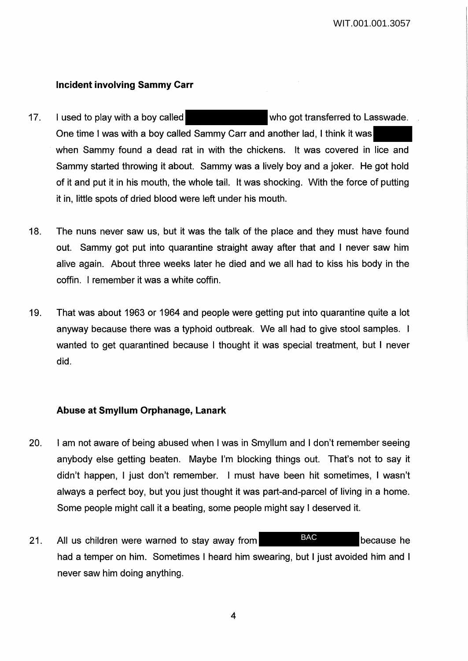# **Incident involving Sammy Carr**

- 17. I used to play with a boy called who got transferred to Lasswade. One time I was with a boy called Sammy Carr and another lad, I think it was when Sammy found a dead rat in with the chickens. It was covered in lice and Sammy started throwing it about. Sammy was a lively boy and a joker. He got hold of it and put it in his mouth, the whole tail. It was shocking. With the force of putting it in, little spots of dried blood were left under his mouth.
- 18. The nuns never saw us, but it was the talk of the place and they must have found out. Sammy got put into quarantine straight away after that and I never saw him alive again. About three weeks later he died and we all had to kiss his body in the coffin. I remember it was a white coffin.
- 19. That was about 1963 or 1964 and people were getting put into quarantine quite a lot anyway because there was a typhoid outbreak. We all had to give stool samples. I wanted to get quarantined because I thought it was special treatment, but I never did.

## **Abuse at Smyllum Orphanage, Lanark**

- 20. I am not aware of being abused when I was in Smyllum and I don't remember seeing anybody else getting beaten. Maybe I'm blocking things out. That's not to say it didn't happen, I just don't remember. I must have been hit sometimes, I wasn't always a perfect boy, but you just thought it was part-and-parcel of living in a home. Some people might call it a beating, some people might say I deserved it.
- 21. All us children were warned to stay away from BAC BAC because he had a temper on him. Sometimes I heard him swearing, but I just avoided him and I never saw him doing anything. BAC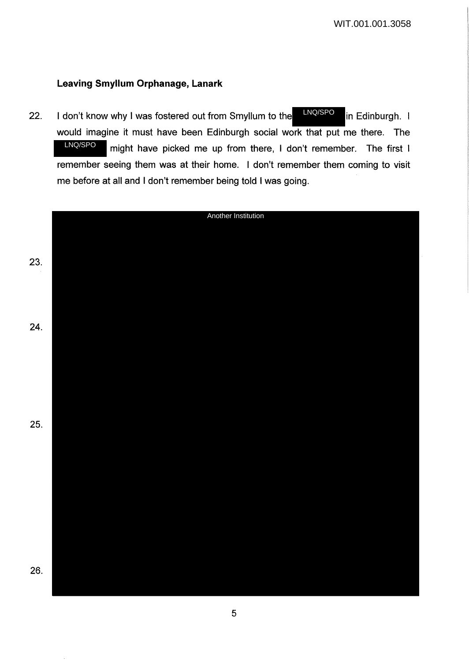# **Leaving Smyllum Orphanage, Lanark**

22. I don't know why I was fostered out from Smyllum to the  $\frac{INQ/SPO}{INQ}$  in Edinburgh. I would imagine it must have been Edinburgh social work that put me there. The might have picked me up from there, I don't remember. The first I remember seeing them was at their home. I don't remember them coming to visit me before at all and I don't remember being told I was going. LNQ/SPO LNQ/SPO

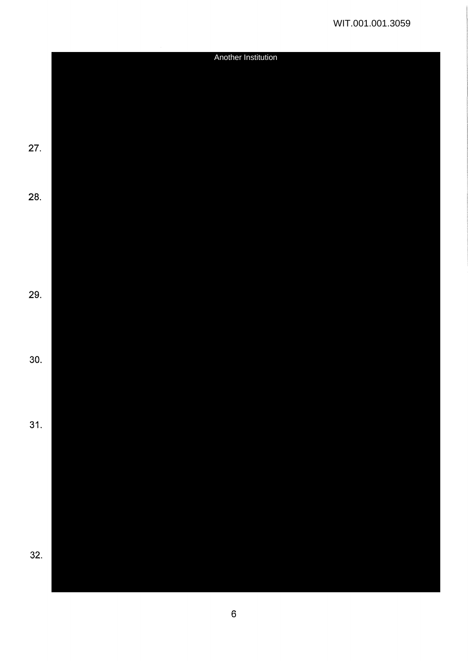|     | Another Institution |  |  |
|-----|---------------------|--|--|
|     |                     |  |  |
|     |                     |  |  |
|     |                     |  |  |
|     |                     |  |  |
|     |                     |  |  |
|     |                     |  |  |
| 27. |                     |  |  |
|     |                     |  |  |
|     |                     |  |  |
|     |                     |  |  |
| 28. |                     |  |  |
|     |                     |  |  |
|     |                     |  |  |
|     |                     |  |  |
|     |                     |  |  |
|     |                     |  |  |
|     |                     |  |  |
| 29. |                     |  |  |
|     |                     |  |  |
|     |                     |  |  |
|     |                     |  |  |
|     |                     |  |  |
| 30. |                     |  |  |
|     |                     |  |  |
|     |                     |  |  |
|     |                     |  |  |
|     |                     |  |  |
| 31. |                     |  |  |
|     |                     |  |  |
|     |                     |  |  |
|     |                     |  |  |
|     |                     |  |  |
|     |                     |  |  |
|     |                     |  |  |
|     |                     |  |  |
|     |                     |  |  |
|     |                     |  |  |
| 32. |                     |  |  |
|     |                     |  |  |
|     |                     |  |  |
|     |                     |  |  |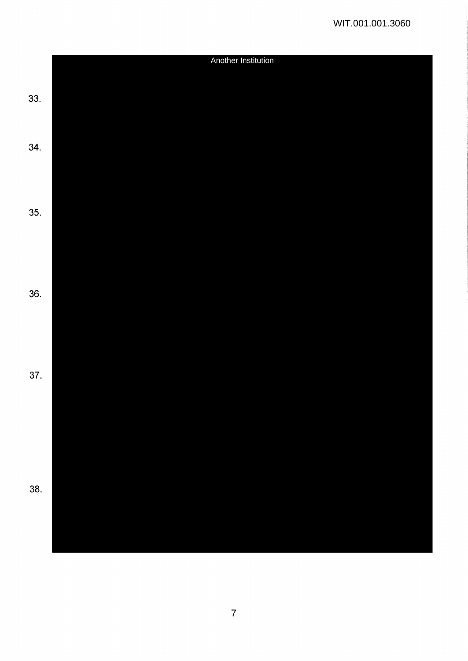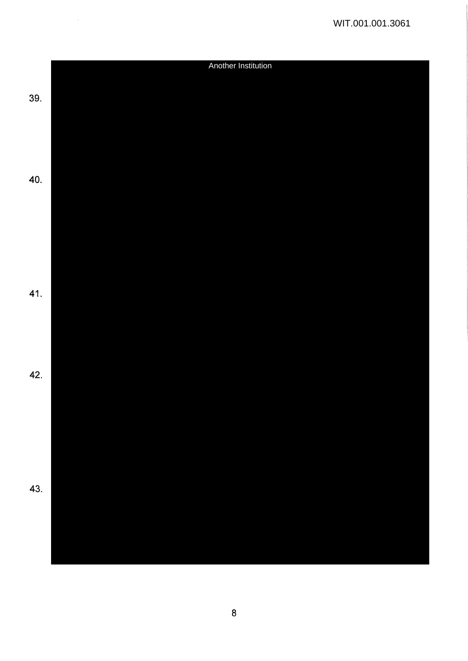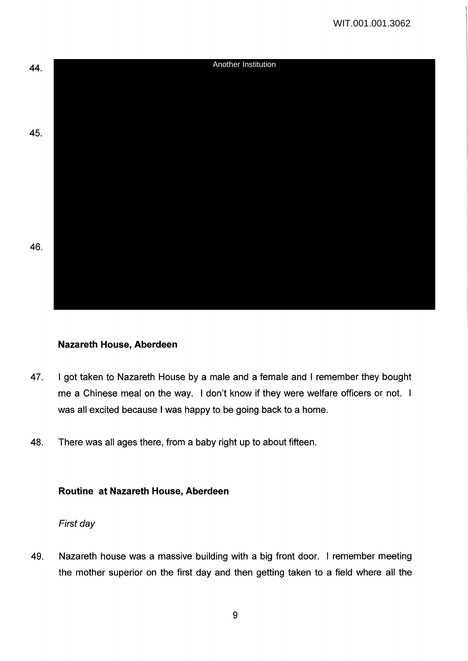

## **Nazareth House, Aberdeen**

- 47. I got taken to Nazareth House by a male and a female and I remember they bought me a Chinese meal on the way. I don't know if they were welfare officers or not. I was all excited because I was happy to be going back to a home.
- 48. There was all ages there, from a baby right up to about fifteen.

## **Routine at Nazareth House, Aberdeen**

### First day

49. Nazareth house was a massive building with a big front door. I remember meeting the mother superior on the first day and then getting taken to a field where all the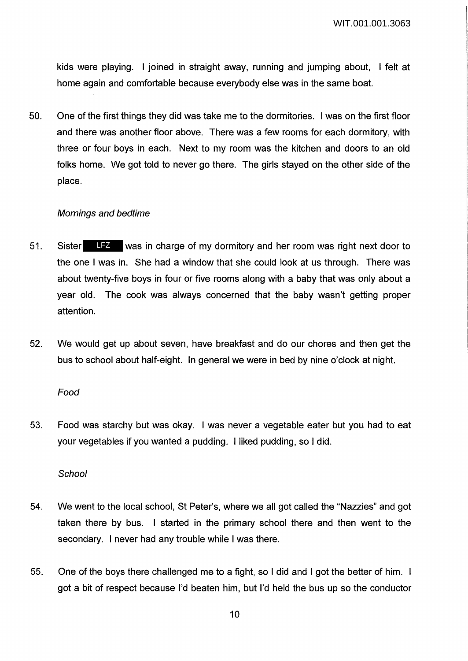kids were playing. I joined in straight away, running and jumping about, I felt at home again and comfortable because everybody else was in the same boat.

50. One of the first things they did was take me to the dormitories. I was on the first floor and there was another floor above. There was a few rooms for each dormitory, with three or four boys in each. Next to my room was the kitchen and doors to an old folks home. We got told to never go there. The girls stayed on the other side of the place.

#### Mornings and bedtime

- 51. Sister LFZ was in charge of my dormitory and her room was right next door to the one I was in. She had a window that she could look at us through. There was about twenty-five boys in four or five rooms along with a baby that was only about a year old. The cook was always concerned that the baby wasn't getting proper attention.
- 52. We would get up about seven, have breakfast and do our chores and then get the bus to school about half-eight. In general we were in bed by nine o'clock at night.

#### Food

53. Food was starchy but was okay. I was never a vegetable eater but you had to eat your vegetables if you wanted a pudding. I liked pudding, so I did.

#### **School**

- 54. We went to the local school, St Peter's, where we all got called the "Nazzies" and got taken there by bus. I started in the primary school there and then went to the secondary. I never had any trouble while I was there.
- 55. One of the boys there challenged me to a fight, so I did and I got the better of him. got a bit of respect because I'd beaten him, but I'd held the bus up so the conductor

10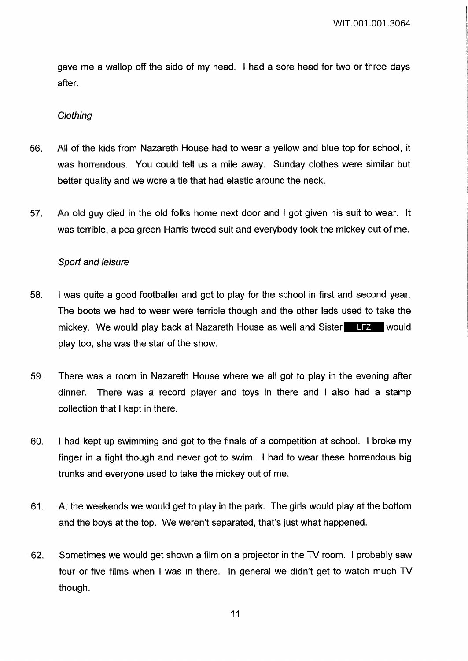gave me a wallop off the side of my head. I had a sore head for two or three days after.

#### **Clothing**

- 56. All of the kids from Nazareth House had to wear a yellow and blue top for school, it was horrendous. You could tell us a mile away. Sunday clothes were similar but better quality and we wore a tie that had elastic around the neck.
- 57. An old guy died in the old folks home next door and I got given his suit to wear. It was terrible, a pea green Harris tweed suit and everybody took the mickey out of me.

### Sport and leisure

- 58. I was quite a good footballer and got to play for the school in first and second year. The boots we had to wear were terrible though and the other lads used to take the mickey. We would play back at Nazareth House as well and Sister LFZ would play too, she was the star of the show.
- 59. There was a room in Nazareth House where we all got to play in the evening after dinner. There was a record player and toys in there and I also had a stamp collection that I kept in there.
- 60. I had kept up swimming and got to the finals of a competition at school. I broke my finger in a fight though and never got to swim. I had to wear these horrendous big trunks and everyone used to take the mickey out of me.
- 61. At the weekends we would get to play in the park. The girls would play at the bottom and the boys at the top. We weren't separated, that's just what happened.
- 62. Sometimes we would get shown a film on a projector in the TV room. I probably saw four or five films when I was in there. In general we didn't get to watch much TV though.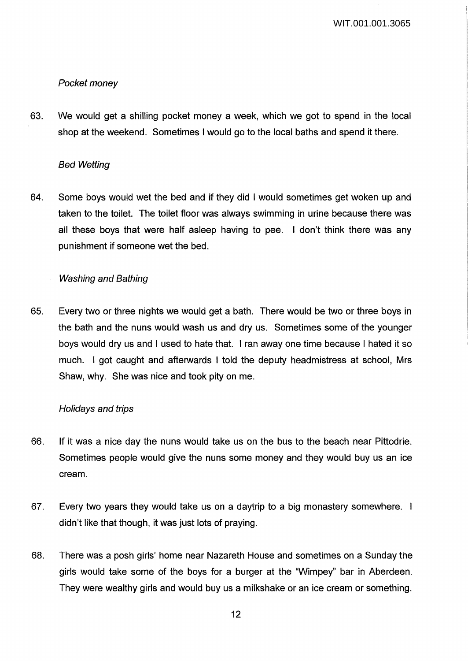# Pocket money

63. We would get a shilling pocket money a week, which we got to spend in the local shop at the weekend. Sometimes I would go to the local baths and spend it there.

### Bed Wetting

64. Some boys would wet the bed and if they did I would sometimes get woken up and taken to the toilet. The toilet floor was always swimming in urine because there was all these boys that were half asleep having to pee. I don't think there was any punishment if someone wet the bed.

## Washing and Bathing

65. Every two or three nights we would get a bath. There would be two or three boys in the bath and the nuns would wash us and dry us. Sometimes some of the younger boys would dry us and I used to hate that. I ran away one time because I hated it so much. I got caught and afterwards I told the deputy headmistress at school, Mrs Shaw, why. She was nice and took pity on me.

## Holidays and trips

- 66. If it was a nice day the nuns would take us on the bus to the beach near Pittodrie. Sometimes people would give the nuns some money and they would buy us an ice cream.
- 67. Every two years they would take us on a daytrip to a big monastery somewhere. didn't like that though, it was just lots of praying.
- 68. There was a posh girls' home near Nazareth House and sometimes on a Sunday the girls would take some of the boys for a burger at the "Wimpey" bar in Aberdeen. They were wealthy girls and would buy us a milkshake or an ice cream or something.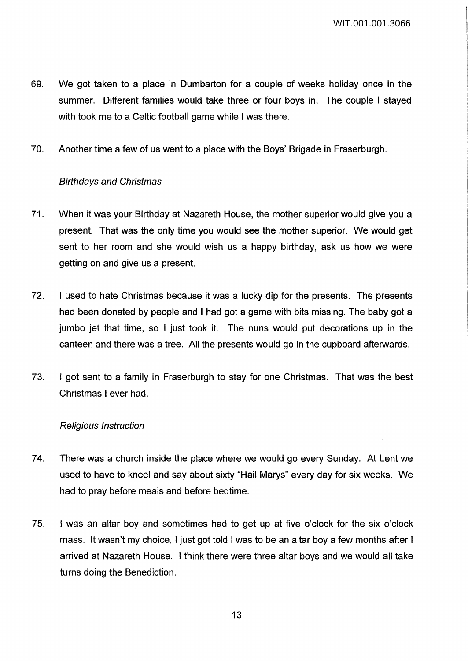- 69. We got taken to a place in Dumbarton for a couple of weeks holiday once in the summer. Different families would take three or four boys in. The couple I stayed with took me to a Celtic football game while I was there.
- 70. Another time a few of us went to a place with the Boys' Brigade in Fraserburgh.

# Birthdays and Christmas

- 71. When it was your Birthday at Nazareth House, the mother superior would give you a present. That was the only time you would see the mother superior. We would get sent to her room and she would wish us a happy birthday, ask us how we were getting on and give us a present.
- 72. I used to hate Christmas because it was a lucky dip for the presents. The presents had been donated by people and I had got a game with bits missing. The baby got a jumbo jet that time, so I just took it. The nuns would put decorations up in the canteen and there was a tree. All the presents would go in the cupboard afterwards.
- 73. I got sent to a family in Fraserburgh to stay for one Christmas. That was the best Christmas I ever had.

## Religious Instruction

- 74. There was a church inside the place where we would go every Sunday. At Lent we used to have to kneel and say about sixty "Hail Marys" every day for six weeks. We had to pray before meals and before bedtime.
- 75. I was an altar boy and sometimes had to get up at five o'clock for the six o'clock mass. It wasn't my choice, I just got told I was to be an altar boy a few months after I arrived at Nazareth House. I think there were three altar boys and we would all take turns doing the Benediction.

13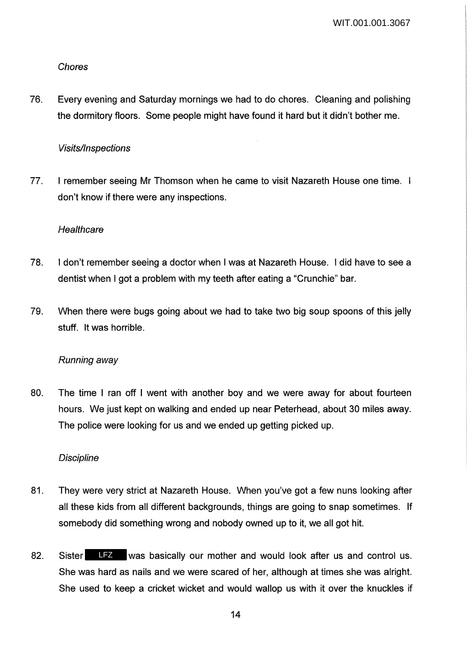## Chores

76. Every evening and Saturday mornings we had to do chores. Cleaning and polishing the dormitory floors. Some people might have found it hard but it didn't bother me.

# Visits/Inspections

77. I remember seeing Mr Thomson when he came to visit Nazareth House one time. I don't know if there were any inspections.

# **Healthcare**

- 78. I don't remember seeing a doctor when I was at Nazareth House. I did have to see a dentist when I got a problem with my teeth after eating a "Crunchie" bar.
- 79. When there were bugs going about we had to take two big soup spoons of this jelly stuff. It was horrible.

# Running away

80. The time I ran off I went with another boy and we were away for about fourteen hours. We just kept on walking and ended up near Peterhead, about 30 miles away. The police were looking for us and we ended up getting picked up.

## **Discipline**

- 81. They were very strict at Nazareth House. When you've got a few nuns looking after all these kids from all different backgrounds, things are going to snap sometimes. If somebody did something wrong and nobody owned up to it, we all got hit.
- 82. Sister LFZ was basically our mother and would look after us and control us. She was hard as nails and we were scared of her, although at times she was alright. She used to keep a cricket wicket and would wallop us with it over the knuckles if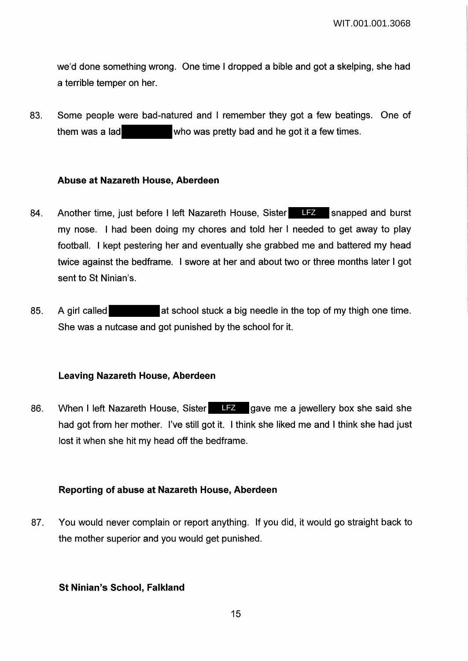we'd done something wrong. One time I dropped a bible and got a skelping, she had a terrible temper on her.

83. Some people were bad-natured and I remember they got a few beatings. One of them was a lad who was pretty bad and he got it a few times.

### **Abuse at Nazareth House, Aberdeen**

- 84. Another time, just before I left Nazareth House, Sister LFZ snapped and burst my nose. I had been doing my chores and told her I needed to get away to play football. I kept pestering her and eventually she grabbed me and battered my head twice against the bedframe. I swore at her and about two or three months later I got sent to St Ninian's.
- 85. A girl called at school stuck a big needle in the top of my thigh one time. She was a nutcase and got punished by the school for it.

### **Leaving Nazareth House, Aberdeen**

86. When I left Nazareth House, Sister LFZ gave me a jewellery box she said she had got from her mother. I've still got it. I think she liked me and I think she had just lost it when she hit my head off the bedframe.

## **Reporting of abuse at Nazareth House, Aberdeen**

87. You would never complain or report anything. If you did, it would go straight back to the mother superior and you would get punished.

## **St Ninian's School, Falkland**

15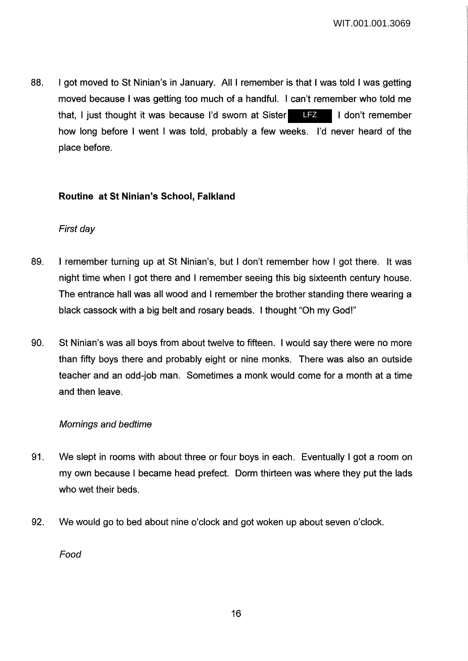88. I got moved to St Ninian's in January. All I remember is that I was told I was getting moved because I was getting too much of a handful. I can't remember who told me that, I just thought it was because I'd sworn at Sister III I don't remember how long before I went I was told, probably a few weeks. I'd never heard of the place before. LFZ

# **Routine at St Ninian's School, Falkland**

# First day

- 89. I remember turning up at St Ninian's, but I don't remember how I got there. It was night time when I got there and I remember seeing this big sixteenth century house. The entrance hall was all wood and I remember the brother standing there wearing a black cassock with a big belt and rosary beads. I thought "Oh my God!"
- 90. St Ninian's was all boys from about twelve to fifteen. I would say there were no more than fifty boys there and probably eight or nine monks. There was also an outside teacher and an odd-job man. Sometimes a monk would come for a month at a time and then leave.

## Mornings and bedtime

- 91. We slept in rooms with about three or four boys in each. Eventually I got a room on my own because I became head prefect. Dorm thirteen was where they put the lads who wet their beds.
- 92. We would go to bed about nine o'clock and got woken up about seven o'clock.

Food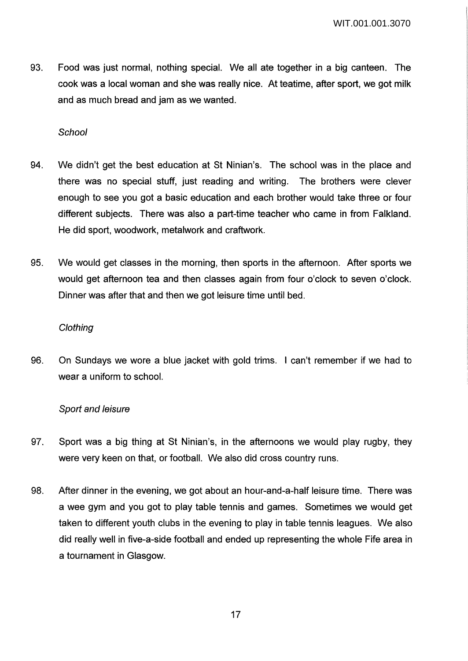93. Food was just normal, nothing special. We all ate together in a big canteen. The cook was a local woman and she was really nice. At teatime, after sport, we got milk and as much bread and jam as we wanted.

### **School**

- 94. We didn't get the best education at St Ninian's. The school was in the place and there was no special stuff, just reading and writing. The brothers were clever enough to see you got a basic education and each brother would take three or four different subjects. There was also a part-time teacher who came in from Falkland. He did sport, woodwork, metalwork and craftwork.
- 95. We would get classes in the morning, then sports in the afternoon. After sports we would get afternoon tea and then classes again from four o'clock to seven o'clock. Dinner was after that and then we got leisure time until bed.

#### **Clothing**

96. On Sundays we wore a blue jacket with gold trims. I can't remember if we had to wear a uniform to school.

## Sport and leisure

- 97. Sport was a big thing at St Ninian's, in the afternoons we would play rugby, they were very keen on that, or football. We also did cross country runs.
- 98. After dinner in the evening, we got about an hour-and-a-half leisure time. There was a wee gym and you got to play table tennis and games. Sometimes we would get taken to different youth clubs in the evening to play in table tennis leagues. We also did really well in five-a-side football and ended up representing the whole Fife area in a tournament in Glasgow.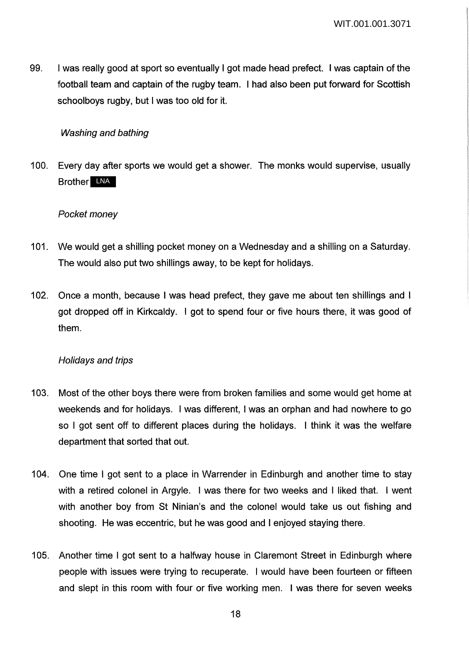99. I was really good at sport so eventually I got made head prefect. I was captain of the football team and captain of the rugby team. I had also been put forward for Scottish schoolboys rugby, but I was too old for it.

## Washing and bathing

100. Every day after sports we would get a shower. The monks would supervise, usually Brother LNA

### Pocket money

- 101. We would get a shilling pocket money on a Wednesday and a shilling on a Saturday. The would also put two shillings away, to be kept for holidays.
- 102. Once a month, because I was head prefect, they gave me about ten shillings and I got dropped off in Kirkcaldy. I got to spend four or five hours there, it was good of them.

#### Holidays and trips

- 103. Most of the other boys there were from broken families and some would get home at weekends and for holidays. I was different, I was an orphan and had nowhere to go so I got sent off to different places during the holidays. I think it was the welfare department that sorted that out.
- 104. One time I got sent to a place in Warrender in Edinburgh and another time to stay with a retired colonel in Argyle. I was there for two weeks and I liked that. I went with another boy from St Ninian's and the colonel would take us out fishing and shooting. He was eccentric, but he was good and I enjoyed staying there.
- 105. Another time I got sent to a halfway house in Claremont Street in Edinburgh where people with issues were trying to recuperate. I would have been fourteen or fifteen and slept in this room with four or five working men. I was there for seven weeks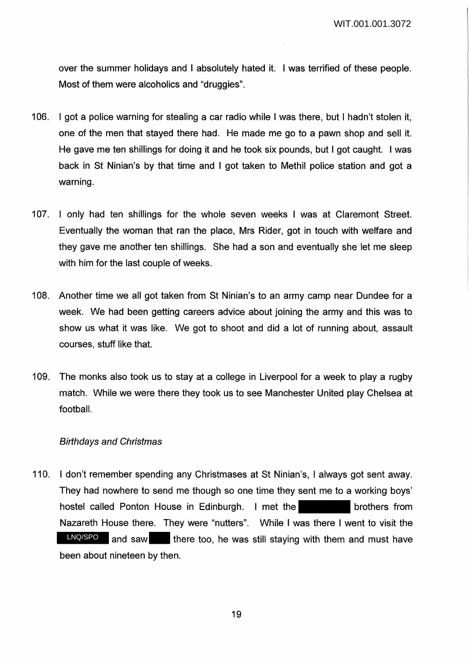over the summer holidays and I absolutely hated it. I was terrified of these people. Most of them were alcoholics and "druggies".

- 106. I got a police warning for stealing a car radio while I was there, but I hadn't stolen it, one of the men that stayed there had. He made me go to a pawn shop and sell it. He gave me ten shillings for doing it and he took six pounds, but I got caught. I was back in St Ninian's by that time and I got taken to Methil police station and got a warning.
- 107. I only had ten shillings for the whole seven weeks I was at Claremont Street. Eventually the woman that ran the place, Mrs Rider, got in touch with welfare and they gave me another ten shillings. She had a son and eventually she let me sleep with him for the last couple of weeks.
- 108. Another time we all got taken from St Ninian's to an army camp near Dundee for a week. We had been getting careers advice about joining the army and this was to show us what it was like. We got to shoot and did a lot of running about, assault courses, stuff like that.
- 109. The monks also took us to stay at a college in Liverpool for a week to play a rugby match. While we were there they took us to see Manchester United play Chelsea at football.

#### Birthdays and Christmas

110. I don't remember spending any Christmases at St Ninian's, I always got sent away. They had nowhere to send me though so one time they sent me to a working boys' hostel called Ponton House in Edinburgh. I met the brothers from Nazareth House there. They were "nutters". While I was there I went to visit the LNQ/SPO and saw there too, he was still staying with them and must have been about nineteen by then.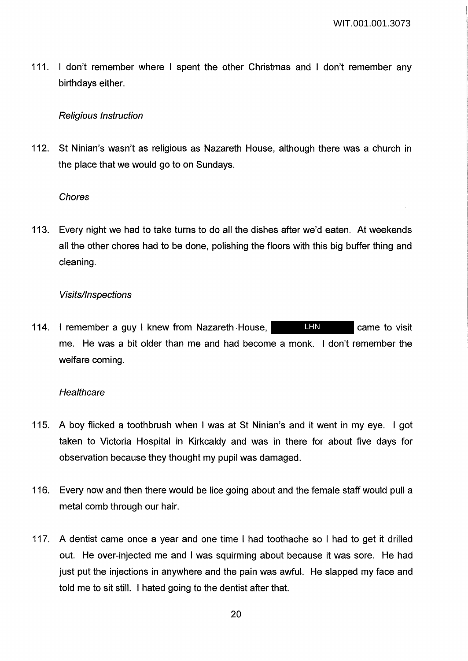111. I don't remember where I spent the other Christmas and I don't remember any birthdays either.

### Religious Instruction

112. St Ninian's wasn't as religious as Nazareth House, although there was a church in the place that we would go to on Sundays.

### Chores

113. Every night we had to take turns to do all the dishes after we'd eaten. At weekends all the other chores had to be done, polishing the floors with this big buffer thing and cleaning.

### Visits/Inspections

114. I remember a guy I knew from Nazareth House, **LHN** came to visit me. He was a bit older than me and had become a monk. I don't remember the welfare coming. LHN

### **Healthcare**

- 115. A boy flicked a toothbrush when I was at St Ninian's and it went in my eye. I got taken to Victoria Hospital in Kirkcaldy and was in there for about five days for observation because they thought my pupil was damaged.
- 116. Every now and then there would be lice going about and the female staff would pull a metal comb through our hair.
- 117. A dentist came once a year and one time I had toothache so I had to get it drilled out. He over-injected me and I was squirming about because it was sore. He had just put the injections in anywhere and the pain was awful. He slapped my face and told me to sit still. I hated going to the dentist after that.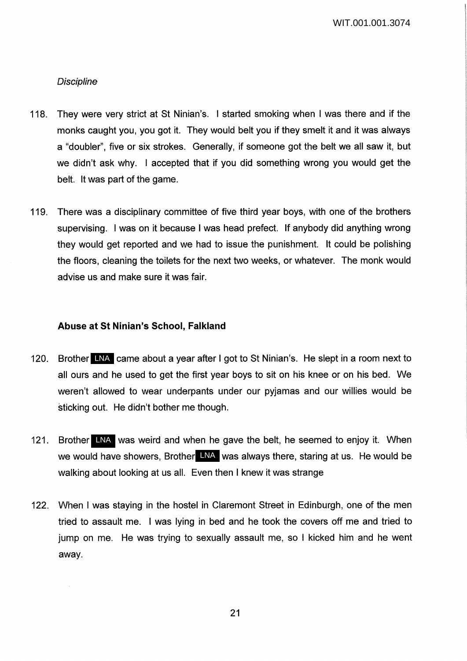### **Discipline**

- 118. They were very strict at St Ninian's. I started smoking when I was there and if the monks caught you, you got it. They would belt you if they smelt it and it was always a "doubler", five or six strokes. Generally, if someone got the belt we all saw it, but we didn't ask why. I accepted that if you did something wrong you would get the belt. It was part of the game.
- 119. There was a disciplinary committee of five third year boys, with one of the brothers supervising. I was on it because I was head prefect. If anybody did anything wrong they would get reported and we had to issue the punishment. It could be polishing the floors, cleaning the toilets for the next two weeks, or whatever. The monk would advise us and make sure it was fair.

#### **Abuse at St Ninian's School, Falkland**

- 120. Brother LNA came about a year after I got to St Ninian's. He slept in a room next to all ours and he used to get the first year boys to sit on his knee or on his bed. We weren't allowed to wear underpants under our pyjamas and our willies would be sticking out. He didn't bother me though.
- 121. Brother LNA was weird and when he gave the belt, he seemed to enjoy it. When we would have showers, Brother LNA was always there, staring at us. He would be walking about looking at us all. Even then I knew it was strange
- 122. When I was staying in the hostel in Claremont Street in Edinburgh, one of the men tried to assault me. I was lying in bed and he took the covers off me and tried to jump on me. He was trying to sexually assault me, so I kicked him and he went away.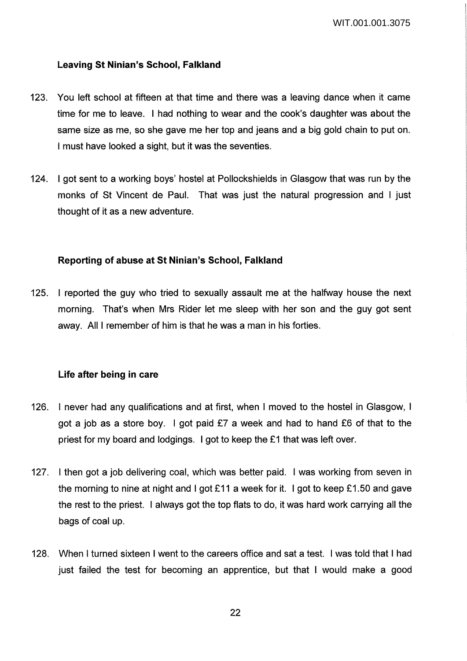### **Leaving St Ninian's School, Falkland**

- 123. You left school at fifteen at that time and there was a leaving dance when it came time for me to leave. I had nothing to wear and the cook's daughter was about the same size as me, so she gave me her top and jeans and a big gold chain to put on. I must have looked a sight, but it was the seventies.
- 124. I got sent to a working boys' hostel at Pollockshields in Glasgow that was run by the monks of St Vincent de Paul. That was just the natural progression and I just thought of it as a new adventure.

#### **Reporting of abuse at St Ninian's School, Falkland**

125. I reported the guy who tried to sexually assault me at the halfway house the next morning. That's when Mrs Rider let me sleep with her son and the guy got sent away. All I remember of him is that he was a man in his forties.

#### **Life after being in care**

- 126. I never had any qualifications and at first, when I moved to the hostel in Glasgow, I got a job as a store boy. I got paid £7 a week and had to hand £6 of that to the priest for my board and lodgings. I got to keep the £1 that was left over.
- 127. I then got a job delivering coal, which was better paid. I was working from seven in the morning to nine at night and I got £11 a week for it. I got to keep £1.50 and gave the rest to the priest. I always got the top flats to do, it was hard work carrying all the bags of coal up.
- 128. When I turned sixteen I went to the careers office and sat a test. I was told that I had just failed the test for becoming an apprentice, but that I would make a good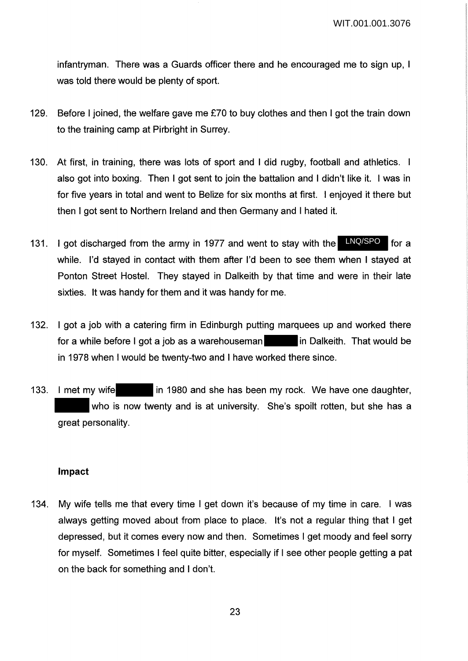infantryman. There was a Guards officer there and he encouraged me to sign up, I was told there would be plenty of sport.

- 129. Before I joined, the welfare gave me £70 to buy clothes and then I got the train down to the training camp at Pirbright in Surrey.
- 130. At first, in training, there was lots of sport and I did rugby, football and athletics. I also got into boxing. Then I got sent to join the battalion and I didn't like it. I was in for five years in total and went to Belize for six months at first. I enjoyed it there but then I got sent to Northern Ireland and then Germany and I hated it.
- 131. I got discharged from the army in 1977 and went to stay with the **LNQ/SPO** for a while. I'd stayed in contact with them after I'd been to see them when I stayed at Ponton Street Hostel. They stayed in Dalkeith by that time and were in their late sixties. It was handy for them and it was handy for me.
- 132. I got a job with a catering firm in Edinburgh putting marquees up and worked there for a while before I got a job as a warehouseman **in** Dalkeith. That would be in 1978 when I would be twenty-two and I have worked there since.
- 133. I met my wife in 1980 and she has been my rock. We have one daughter, who is now twenty and is at university. She's spoilt rotten, but she has a great personality.

## **Impact**

134. My wife tells me that every time I get down it's because of my time in care. I was always getting moved about from place to place. It's not a regular thing that I get depressed, but it comes every now and then. Sometimes I get moody and feel sorry for myself. Sometimes I feel quite bitter, especially if I see other people getting a pat on the back for something and I don't.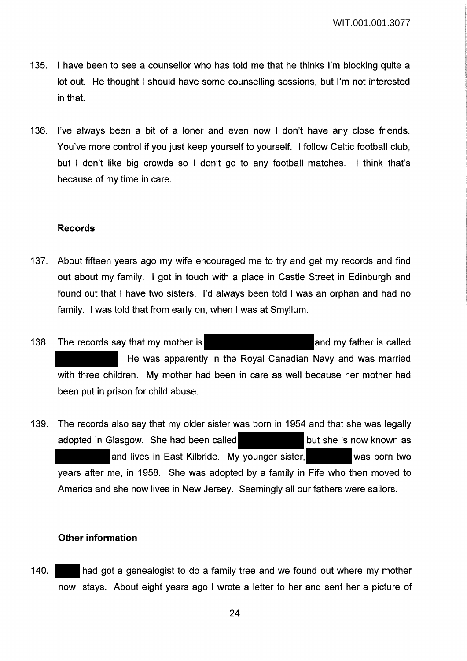- 135. I have been to see a counsellor who has told me that he thinks I'm blocking quite a lot out. He thought I should have some counselling sessions, but I'm not interested in that.
- 136. I've always been a bit of a loner and even now I don't have any close friends. You've more control if you just keep yourself to yourself. I follow Celtic football club, but I don't like big crowds so I don't go to any football matches. I think that's because of my time in care.

### **Records**

- 137. About fifteen years ago my wife encouraged me to try and get my records and find out about my family. I got in touch with a place in Castle Street in Edinburgh and found out that I have two sisters. I'd always been told I was an orphan and had no family. I was told that from early on, when I was at Smyllum.
- 138. The records say that my mother is **the contract of the same is called** 138. The records say that my mother is He was apparently in the Royal Canadian Navy and was married with three children. My mother had been in care as well because her mother had been put in prison for child abuse.
- 139. The records also say that my older sister was born in 1954 and that she was legally adopted in Glasgow. She had been called but she is now known as and lives in East Kilbride. My younger sister, was born two years after me, in 1958. She was adopted by a family in Fife who then moved to America and she now lives in New Jersey. Seemingly all our fathers were sailors.

#### **Other information**

140. had got a genealogist to do a family tree and we found out where my mother now stays. About eight years ago I wrote a letter to her and sent her a picture of